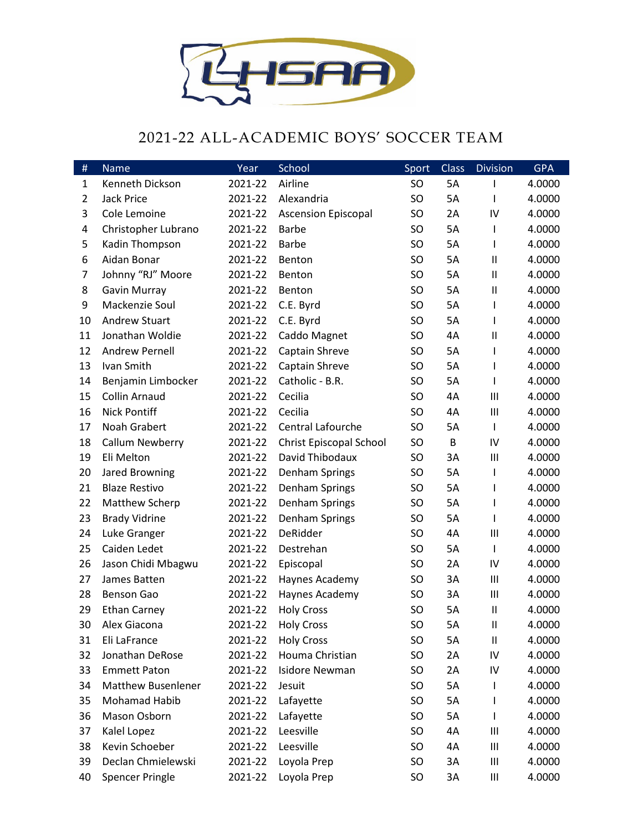

## 2021-22 ALL-ACADEMIC BOYS' SOCCER TEAM

| $\#$           | Name                      | Year    | School                     | Sport     | <b>Class</b> | <b>Division</b>    | <b>GPA</b> |
|----------------|---------------------------|---------|----------------------------|-----------|--------------|--------------------|------------|
| 1              | Kenneth Dickson           | 2021-22 | Airline                    | <b>SO</b> | 5A           |                    | 4.0000     |
| $\overline{2}$ | Jack Price                | 2021-22 | Alexandria                 | <b>SO</b> | 5A           | I                  | 4.0000     |
| 3              | Cole Lemoine              | 2021-22 | <b>Ascension Episcopal</b> | <b>SO</b> | 2A           | IV                 | 4.0000     |
| 4              | Christopher Lubrano       | 2021-22 | <b>Barbe</b>               | <b>SO</b> | 5A           | $\mathbf{I}$       | 4.0000     |
| 5              | Kadin Thompson            | 2021-22 | <b>Barbe</b>               | <b>SO</b> | 5A           | I                  | 4.0000     |
| 6              | Aidan Bonar               | 2021-22 | Benton                     | <b>SO</b> | 5A           | $\mathbf{H}$       | 4.0000     |
| 7              | Johnny "RJ" Moore         | 2021-22 | Benton                     | <b>SO</b> | 5A           | $\mathbf{I}$       | 4.0000     |
| 8              | <b>Gavin Murray</b>       | 2021-22 | Benton                     | <b>SO</b> | 5A           | $\mathbf{I}$       | 4.0000     |
| 9              | Mackenzie Soul            | 2021-22 | C.E. Byrd                  | <b>SO</b> | 5A           | $\mathbf{I}$       | 4.0000     |
| 10             | <b>Andrew Stuart</b>      | 2021-22 | C.E. Byrd                  | <b>SO</b> | 5A           | $\mathsf{I}$       | 4.0000     |
| 11             | Jonathan Woldie           | 2021-22 | Caddo Magnet               | <b>SO</b> | 4A           | $\mathbf{II}$      | 4.0000     |
| 12             | Andrew Pernell            | 2021-22 | Captain Shreve             | <b>SO</b> | 5A           | $\mathsf{l}$       | 4.0000     |
| 13             | Ivan Smith                | 2021-22 | Captain Shreve             | SO.       | 5A           | I                  | 4.0000     |
| 14             | Benjamin Limbocker        | 2021-22 | Catholic - B.R.            | SO.       | 5A           | I                  | 4.0000     |
| 15             | Collin Arnaud             | 2021-22 | Cecilia                    | <b>SO</b> | 4A           | $\mathbf{III}$     | 4.0000     |
| 16             | <b>Nick Pontiff</b>       | 2021-22 | Cecilia                    | <b>SO</b> | 4A           | $\mathop{\rm III}$ | 4.0000     |
| 17             | Noah Grabert              | 2021-22 | <b>Central Lafourche</b>   | SO        | 5A           | $\mathsf{I}$       | 4.0000     |
| 18             | Callum Newberry           | 2021-22 | Christ Episcopal School    | <b>SO</b> | B            | IV                 | 4.0000     |
| 19             | Eli Melton                | 2021-22 | David Thibodaux            | <b>SO</b> | 3A           | Ш                  | 4.0000     |
| 20             | Jared Browning            | 2021-22 | Denham Springs             | <b>SO</b> | 5A           | $\mathsf{l}$       | 4.0000     |
| 21             | <b>Blaze Restivo</b>      | 2021-22 | Denham Springs             | <b>SO</b> | 5A           | I                  | 4.0000     |
| 22             | Matthew Scherp            | 2021-22 | Denham Springs             | <b>SO</b> | 5A           | $\mathbf{I}$       | 4.0000     |
| 23             | <b>Brady Vidrine</b>      | 2021-22 | Denham Springs             | <b>SO</b> | 5A           | I                  | 4.0000     |
| 24             | Luke Granger              | 2021-22 | DeRidder                   | <b>SO</b> | 4A           | Ш                  | 4.0000     |
| 25             | Caiden Ledet              | 2021-22 | Destrehan                  | <b>SO</b> | 5A           | $\mathsf{I}$       | 4.0000     |
| 26             | Jason Chidi Mbagwu        | 2021-22 | Episcopal                  | <b>SO</b> | 2A           | IV                 | 4.0000     |
| 27             | James Batten              | 2021-22 | Haynes Academy             | <b>SO</b> | 3A           | $\mathop{\rm III}$ | 4.0000     |
| 28             | <b>Benson Gao</b>         | 2021-22 | Haynes Academy             | <b>SO</b> | 3A           | Ш                  | 4.0000     |
| 29             | <b>Ethan Carney</b>       | 2021-22 | <b>Holy Cross</b>          | <b>SO</b> | 5A           | $\mathbf{II}$      | 4.0000     |
| 30             | Alex Giacona              | 2021-22 | <b>Holy Cross</b>          | <b>SO</b> | 5A           | $\mathbf{I}$       | 4.0000     |
| 31             | Eli LaFrance              | 2021-22 | <b>Holy Cross</b>          | SO        | 5A           | $\mathbf{II}$      | 4.0000     |
| 32             | Jonathan DeRose           | 2021-22 | Houma Christian            | <b>SO</b> | 2A           | IV                 | 4.0000     |
| 33             | <b>Emmett Paton</b>       | 2021-22 | <b>Isidore Newman</b>      | <b>SO</b> | 2A           | IV                 | 4.0000     |
| 34             | <b>Matthew Busenlener</b> | 2021-22 | Jesuit                     | <b>SO</b> | 5A           | I.                 | 4.0000     |
| 35             | Mohamad Habib             | 2021-22 | Lafayette                  | <b>SO</b> | 5A           |                    | 4.0000     |
| 36             | Mason Osborn              | 2021-22 | Lafayette                  | <b>SO</b> | 5A           |                    | 4.0000     |
| 37             | Kalel Lopez               | 2021-22 | Leesville                  | SO.       | 4A           | Ш                  | 4.0000     |
| 38             | Kevin Schoeber            | 2021-22 | Leesville                  | SO.       | 4A           | Ш                  | 4.0000     |
| 39             | Declan Chmielewski        | 2021-22 | Loyola Prep                | SO.       | 3A           | Ш                  | 4.0000     |
| 40             | <b>Spencer Pringle</b>    | 2021-22 | Loyola Prep                | SO        | 3A           | Ш                  | 4.0000     |